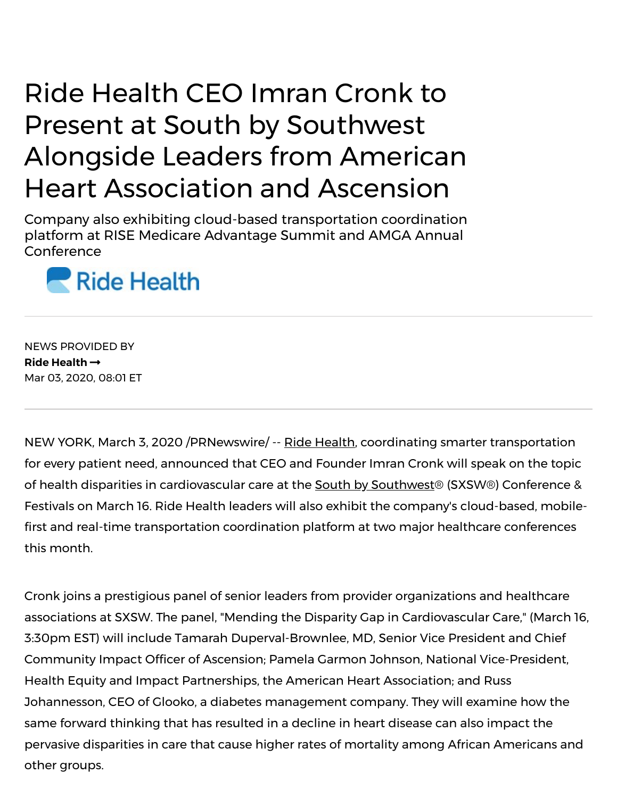## Ride Health CEO Imran Cronk to Present at South by Southwest Alongside Leaders from American Heart Association and Ascension

Company also exhibiting cloud-based transportation coordination platform at RISE Medicare Advantage Summit and AMGA Annual Conference



NEWS PROVIDED BY **Ride [Health](https://www.prnewswire.com/news/ride-health)** Mar 03, 2020, 08:01 ET

NEW YORK, March 3, 2020 /PRNewswire/ -- Ride [Health,](https://c212.net/c/link/?t=0&l=en&o=2736738-1&h=1364254524&u=https%3A%2F%2Fwww.ridehealth.com%2F&a=Ride+Health) coordinating smarter transportation for every patient need, announced that CEO and Founder Imran Cronk will speak on the topic of health disparities in cardiovascular care at the South by [Southwest®](https://c212.net/c/link/?t=0&l=en&o=2736738-1&h=1547330711&u=https%3A%2F%2Fwww.sxsw.com%2Fconference%2Fhealth-and-medtech%2F&a=South+by+Southwest) (SXSW®) Conference & Festivals on March 16. Ride Health leaders will also exhibit the company's cloud-based, mobile first and real-time transportation coordination platform at two major healthcare conferences this month.

Cronk joins a prestigious panel of senior leaders from provider organizations and healthcare associations at SXSW. The panel, "Mending the Disparity Gap in Cardiovascular Care," (March 16, 3:30pm EST) will include Tamarah Duperval-Brownlee, MD, Senior Vice President and Chief Community Impact Officer of Ascension; Pamela Garmon Johnson, National Vice-President, Health Equity and Impact Partnerships, the American Heart Association; and Russ Johannesson, CEO of Glooko, a diabetes management company. They will examine how the same forward thinking that has resulted in a decline in heart disease can also impact the pervasive disparities in care that cause higher rates of mortality among African Americans and other groups.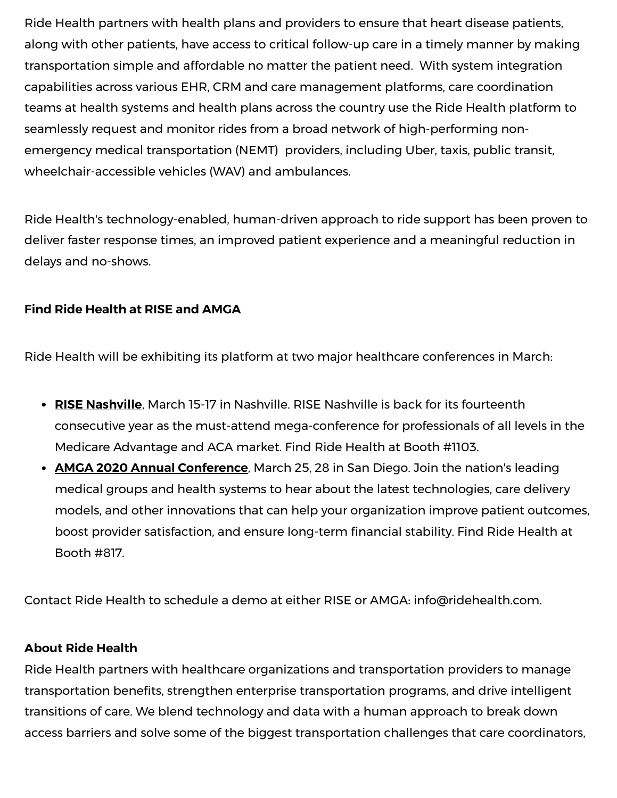Ride Health partners with health plans and providers to ensure that heart disease patients, along with other patients, have access to critical follow-up care in a timely manner by making transportation simple and affordable no matter the patient need. With system integration capabilities across various EHR, CRM and care management platforms, care coordination teams at health systems and health plans across the country use the Ride Health platform to seamlessly request and monitor rides from a broad network of high-performing nonemergency medical transportation (NEMT) providers, including Uber, taxis, public transit, wheelchair-accessible vehicles (WAV) and ambulances.

Ride Health's technology-enabled, human-driven approach to ride support has been proven to deliver faster response times, an improved patient experience and a meaningful reduction in delays and no-shows.

## **Find Ride Health at RISE and AMGA**

Ride Health will be exhibiting its platform at two major healthcare conferences in March:

- **RISE [Nashville](https://c212.net/c/link/?t=0&l=en&o=2736738-1&h=1184188601&u=https%3A%2F%2Fwww.rise-nashville.com%2F&a=RISE+Nashville)**, March 15-17 in Nashville. RISE Nashville is back for its fourteenth consecutive year as the must-attend mega-conference for professionals of all levels in the Medicare Advantage and ACA market. Find Ride Health at Booth #1103.
- **AMGA 2020 Annual [Conference](https://c212.net/c/link/?t=0&l=en&o=2736738-1&h=486162697&u=http%3A%2F%2Fac.amga.org%2Fac2020.html&a=AMGA+2020+Annual+Conference)**, March 25, 28 in San Diego. Join the nation's leading medical groups and health systems to hear about the latest technologies, care delivery models, and other innovations that can help your organization improve patient outcomes, boost provider satisfaction, and ensure long-term financial stability. Find Ride Health at Booth #817.

Contact Ride Health to schedule a demo at either RISE or AMGA: [info@ridehealth.com](mailto:info@ridehealth.com).

## **About Ride Health**

Ride Health partners with healthcare organizations and transportation providers to manage transportation benefits, strengthen enterprise transportation programs, and drive intelligent transitions of care. We blend technology and data with a human approach to break down access barriers and solve some of the biggest transportation challenges that care coordinators,